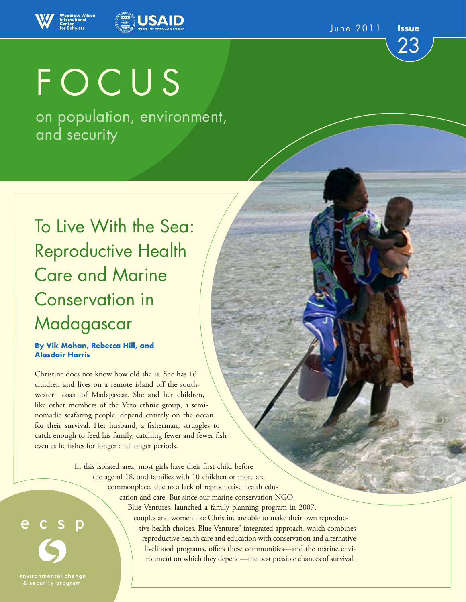



June 2011 **Issue** 





# FOCUS

on population, environment, and security

### To Live With the Sea: Reproductive Health Care and Marine Conservation in Madagascar

### **By Vik Mohan, Rebecca Hill, and Alasdair Harris**

Christine does not know how old she is. She has 16 children and lives on a remote island off the southwestern coast of Madagascar. She and her children, like other members of the Vezo ethnic group, a seminomadic seafaring people, depend entirely on the ocean for their survival. Her husband, a fisherman, struggles to catch enough to feed his family, catching fewer and fewer fish even as he fishes for longer and longer periods.

In this isolated area, most girls have their first child before the age of 18, and families with 10 children or more are commonplace, due to a lack of reproductive health education and care. But since our marine conservation NGO, Blue Ventures, launched a family planning program in 2007, couples and women like Christine are able to make their own reproduc- $C S D$ tive health choices. Blue Ventures' integrated approach, which combines

> reproductive health care and education with conservation and alternative livelihood programs, offers these communities—and the marine environment on which they depend—the best possible chances of survival.

env<mark>i</mark>ronmental change

& security program

e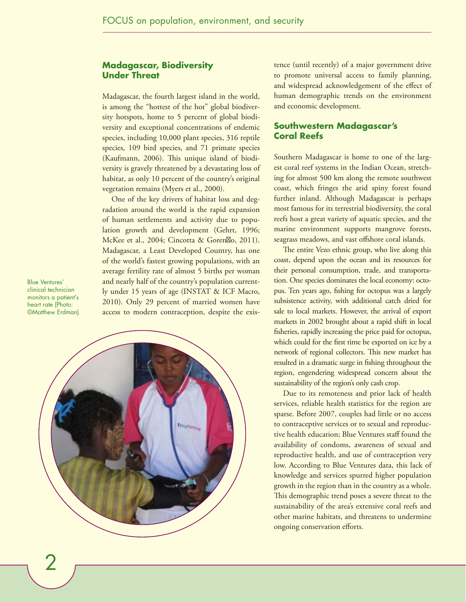### **Madagascar, Biodiversity Under Threat**

Madagascar, the fourth largest island in the world, is among the "hottest of the hot" global biodiversity hotspots, home to 5 percent of global biodiversity and exceptional concentrations of endemic species, including 10,000 plant species, 316 reptile species, 109 bird species, and 71 primate species (Kaufmann, 2006). This unique island of biodiversity is gravely threatened by a devastating loss of habitat, as only 10 percent of the country's original vegetation remains (Myers et al., 2000).

One of the key drivers of habitat loss and degradation around the world is the rapid expansion of human settlements and activity due to population growth and development (Gehrt, 1996; McKee et al., 2004; Cincotta & Gorenf o, 2011). Madagascar, a Least Developed Country, has one of the world's fastest growing populations, with an average fertility rate of almost 5 births per woman and nearly half of the country's population currently under 15 years of age (INSTAT & ICF Macro, 2010). Only 29 percent of married women have access to modern contraception, despite the exis-

Blue Ventures' clinical technician monitors a patient's heart rate (Photo: ©Matthew Erdman).



tence (until recently) of a major government drive to promote universal access to family planning, and widespread acknowledgement of the effect of human demographic trends on the environment and economic development.

### **Southwestern Madagascar's Coral Reefs**

Southern Madagascar is home to one of the largest coral reef systems in the Indian Ocean, stretching for almost 500 km along the remote southwest coast, which fringes the arid spiny forest found further inland. Although Madagascar is perhaps most famous for its terrestrial biodiversity, the coral reefs host a great variety of aquatic species, and the marine environment supports mangrove forests, seagrass meadows, and vast offshore coral islands.

The entire Vezo ethnic group, who live along this coast, depend upon the ocean and its resources for their personal consumption, trade, and transportation. One species dominates the local economy: octopus. Ten years ago, fishing for octopus was a largely subsistence activity, with additional catch dried for sale to local markets. However, the arrival of export markets in 2002 brought about a rapid shift in local fisheries, rapidly increasing the price paid for octopus, which could for the first time be exported on ice by a network of regional collectors. This new market has resulted in a dramatic surge in fishing throughout the region, engendering widespread concern about the sustainability of the region's only cash crop.

Due to its remoteness and prior lack of health services, reliable health statistics for the region are sparse. Before 2007, couples had little or no access to contraceptive services or to sexual and reproductive health education; Blue Ventures staff found the availability of condoms, awareness of sexual and reproductive health, and use of contraception very low. According to Blue Ventures data, this lack of knowledge and services spurred higher population growth in the region than in the country as a whole. This demographic trend poses a severe threat to the sustainability of the area's extensive coral reefs and other marine habitats, and threatens to undermine ongoing conservation efforts.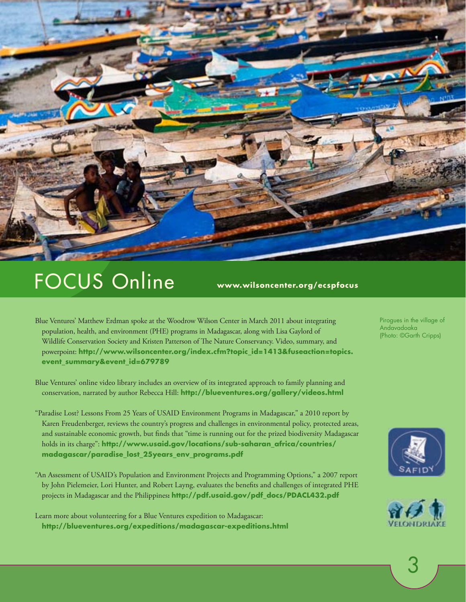

## FOCUS Online **www.wilsoncenter.org/ecspfocus**

- Blue Ventures' Matthew Erdman spoke at the Woodrow Wilson Center in March 2011 about integrating population, health, and environment (PHE) programs in Madagascar, along with Lisa Gaylord of Wildlife Conservation Society and Kristen Patterson of The Nature Conservancy. Video, summary, and powerpoint: **http://www.wilsoncenter.org/index.cfm?topic\_id=1413&fuseaction=topics. event\_summary&event\_id=679789**
- Blue Ventures' online video library includes an overview of its integrated approach to family planning and conservation, narrated by author Rebecca Hill: **http://blueventures.org/gallery/videos.html**
- "Paradise Lost? Lessons From 25 Years of USAID Environment Programs in Madagascar," a 2010 report by Karen Freudenberger, reviews the country's progress and challenges in environmental policy, protected areas, and sustainable economic growth, but finds that "time is running out for the prized biodiversity Madagascar holds in its charge": **http://www.usaid.gov/locations/sub-saharan\_africa/countries/ madagascar/paradise\_lost\_25years\_env\_programs.pdf**
- "An Assessment of USAID's Population and Environment Projects and Programming Options," a 2007 report by John Pielemeier, Lori Hunter, and Robert Layng, evaluates the benefits and challenges of integrated PHE projects in Madagascar and the Philippines**: http://pdf.usaid.gov/pdf\_docs/PDACL432.pdf**
- Learn more about volunteering for a Blue Ventures expedition to Madagascar: **http://blueventures.org/expeditions/madagascar-expeditions.html**

Pirogues in the village of Andavadoaka (Photo: ©Garth Cripps)



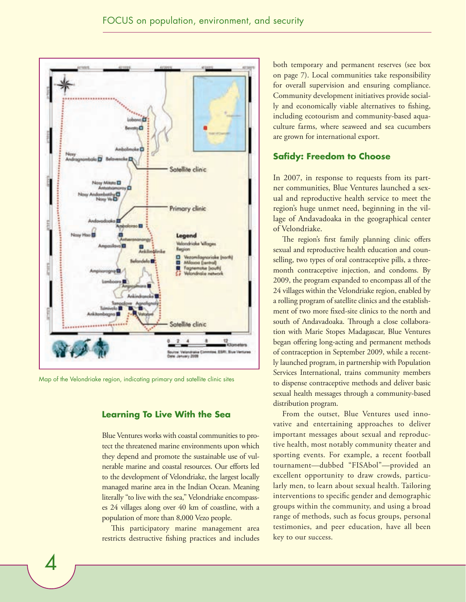

Map of the Velondriake region, indicating primary and satellite clinic sites

4

### **Learning To Live With the Sea**

Blue Ventures works with coastal communities to protect the threatened marine environments upon which they depend and promote the sustainable use of vulnerable marine and coastal resources. Our efforts led to the development of Velondriake, the largest locally managed marine area in the Indian Ocean. Meaning literally "to live with the sea," Velondriake encompasses 24 villages along over 40 km of coastline, with a population of more than 8,000 Vezo people.

This participatory marine management area restricts destructive fishing practices and includes both temporary and permanent reserves (see box on page 7). Local communities take responsibility for overall supervision and ensuring compliance. Community development initiatives provide socially and economically viable alternatives to fishing, including ecotourism and community-based aquaculture farms, where seaweed and sea cucumbers are grown for international export.

### **Safidy: Freedom to Choose**

In 2007, in response to requests from its partner communities, Blue Ventures launched a sexual and reproductive health service to meet the region's huge unmet need, beginning in the village of Andavadoaka in the geographical center of Velondriake.

The region's first family planning clinic offers sexual and reproductive health education and counselling, two types of oral contraceptive pills, a threemonth contraceptive injection, and condoms. By 2009, the program expanded to encompass all of the 24 villages within the Velondriake region, enabled by a rolling program of satellite clinics and the establishment of two more fixed-site clinics to the north and south of Andavadoaka. Through a close collaboration with Marie Stopes Madagascar, Blue Ventures began offering long-acting and permanent methods of contraception in September 2009, while a recently launched program, in partnership with Population Services International, trains community members to dispense contraceptive methods and deliver basic sexual health messages through a community-based distribution program.

From the outset, Blue Ventures used innovative and entertaining approaches to deliver important messages about sexual and reproductive health, most notably community theater and sporting events. For example, a recent football tournament—dubbed "FISAbol"—provided an excellent opportunity to draw crowds, particularly men, to learn about sexual health. Tailoring interventions to specific gender and demographic groups within the community, and using a broad range of methods, such as focus groups, personal testimonies, and peer education, have all been key to our success.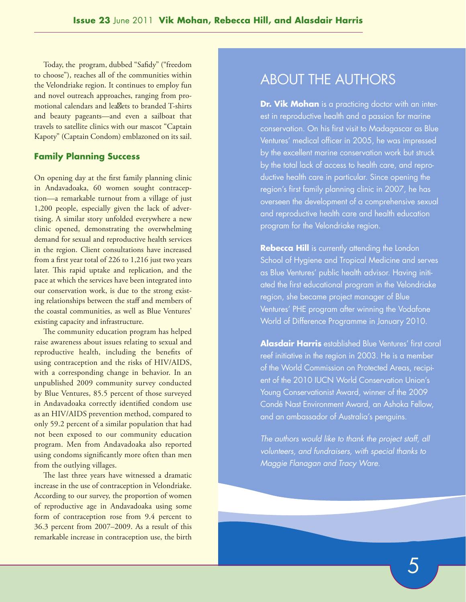Today, the program, dubbed "Safidy" ("freedom to choose"), reaches all of the communities within the Velondriake region. It continues to employ fun and novel outreach approaches, ranging from promotional calendars and leaf ets to branded T-shirts and beauty pageants—and even a sailboat that travels to satellite clinics with our mascot "Captain Kapoty" (Captain Condom) emblazoned on its sail.

### **Family Planning Success**

On opening day at the first family planning clinic in Andavadoaka, 60 women sought contraception—a remarkable turnout from a village of just 1,200 people, especially given the lack of advertising. A similar story unfolded everywhere a new clinic opened, demonstrating the overwhelming demand for sexual and reproductive health services in the region. Client consultations have increased from a first year total of 226 to 1,216 just two years later. This rapid uptake and replication, and the pace at which the services have been integrated into our conservation work, is due to the strong existing relationships between the staff and members of the coastal communities, as well as Blue Ventures' existing capacity and infrastructure.

The community education program has helped raise awareness about issues relating to sexual and reproductive health, including the benefits of using contraception and the risks of HIV/AIDS, with a corresponding change in behavior. In an unpublished 2009 community survey conducted by Blue Ventures, 85.5 percent of those surveyed in Andavadoaka correctly identified condom use as an HIV/AIDS prevention method, compared to only 59.2 percent of a similar population that had not been exposed to our community education program. Men from Andavadoaka also reported using condoms significantly more often than men from the outlying villages.

The last three years have witnessed a dramatic increase in the use of contraception in Velondriake. According to our survey, the proportion of women of reproductive age in Andavadoaka using some form of contraception rose from 9.4 percent to 36.3 percent from 2007–2009. As a result of this remarkable increase in contraception use, the birth

### About the Authors

**Dr. Vik Mohan** is a practicing doctor with an interest in reproductive health and a passion for marine conservation. On his first visit to Madagascar as Blue Ventures' medical officer in 2005, he was impressed by the excellent marine conservation work but struck by the total lack of access to health care, and reproductive health care in particular. Since opening the region's first family planning clinic in 2007, he has overseen the development of a comprehensive sexual and reproductive health care and health education program for the Velondriake region.

**Rebecca Hill** is currently attending the London School of Hygiene and Tropical Medicine and serves as Blue Ventures' public health advisor. Having initiated the first educational program in the Velondriake region, she became project manager of Blue Ventures' PHE program after winning the Vodafone World of Difference Programme in January 2010.

**Alasdair Harris** established Blue Ventures' first coral reef initiative in the region in 2003. He is a member of the World Commission on Protected Areas, recipient of the 2010 IUCN World Conservation Union's Young Conservationist Award, winner of the 2009 Condé Nast Environment Award, an Ashoka Fellow, and an ambassador of Australia's penguins.

*The authors would like to thank the project staff, all volunteers, and fundraisers, with special thanks to Maggie Flanagan and Tracy Ware.*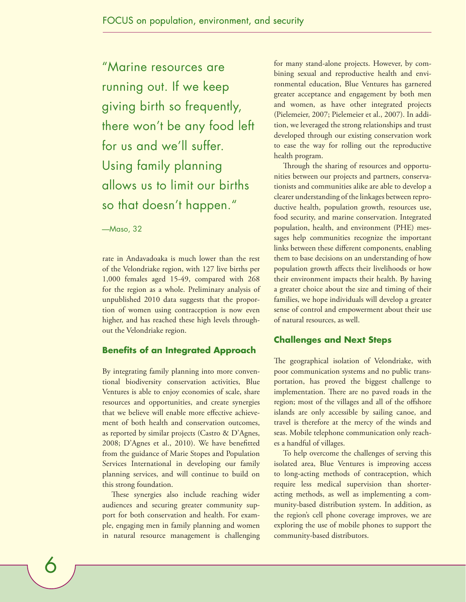"Marine resources are running out. If we keep giving birth so frequently, there won't be any food left for us and we'll suffer. Using family planning allows us to limit our births so that doesn't happen."

—Maso, 32

rate in Andavadoaka is much lower than the rest of the Velondriake region, with 127 live births per 1,000 females aged 15-49, compared with 268 for the region as a whole. Preliminary analysis of unpublished 2010 data suggests that the proportion of women using contraception is now even higher, and has reached these high levels throughout the Velondriake region.

### **Benefits of an Integrated Approach**

By integrating family planning into more conventional biodiversity conservation activities, Blue Ventures is able to enjoy economies of scale, share resources and opportunities, and create synergies that we believe will enable more effective achievement of both health and conservation outcomes, as reported by similar projects (Castro & D'Agnes, 2008; D'Agnes et al., 2010). We have benefitted from the guidance of Marie Stopes and Population Services International in developing our family planning services, and will continue to build on this strong foundation.

These synergies also include reaching wider audiences and securing greater community support for both conservation and health. For example, engaging men in family planning and women in natural resource management is challenging

for many stand-alone projects. However, by combining sexual and reproductive health and environmental education, Blue Ventures has garnered greater acceptance and engagement by both men and women, as have other integrated projects (Pielemeier, 2007; Pielemeier et al., 2007). In addition, we leveraged the strong relationships and trust developed through our existing conservation work to ease the way for rolling out the reproductive health program.

Through the sharing of resources and opportunities between our projects and partners, conservationists and communities alike are able to develop a clearer understanding of the linkages between reproductive health, population growth, resources use, food security, and marine conservation. Integrated population, health, and environment (PHE) messages help communities recognize the important links between these different components, enabling them to base decisions on an understanding of how population growth affects their livelihoods or how their environment impacts their health. By having a greater choice about the size and timing of their families, we hope individuals will develop a greater sense of control and empowerment about their use of natural resources, as well.

### **Challenges and Next Steps**

The geographical isolation of Velondriake, with poor communication systems and no public transportation, has proved the biggest challenge to implementation. There are no paved roads in the region; most of the villages and all of the offshore islands are only accessible by sailing canoe, and travel is therefore at the mercy of the winds and seas. Mobile telephone communication only reaches a handful of villages.

To help overcome the challenges of serving this isolated area, Blue Ventures is improving access to long-acting methods of contraception, which require less medical supervision than shorteracting methods, as well as implementing a community-based distribution system. In addition, as the region's cell phone coverage improves, we are exploring the use of mobile phones to support the community-based distributors.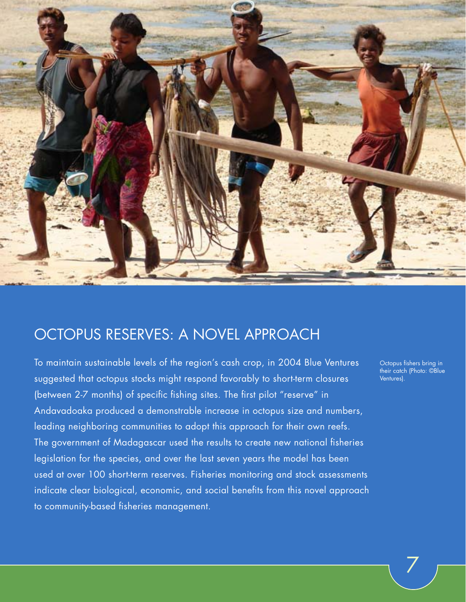

### Octopus Reserves: A Novel Approach

To maintain sustainable levels of the region's cash crop, in 2004 Blue Ventures suggested that octopus stocks might respond favorably to short-term closures (between 2-7 months) of specific fishing sites. The first pilot "reserve" in Andavadoaka produced a demonstrable increase in octopus size and numbers, leading neighboring communities to adopt this approach for their own reefs. The government of Madagascar used the results to create new national fisheries legislation for the species, and over the last seven years the model has been used at over 100 short-term reserves. Fisheries monitoring and stock assessments indicate clear biological, economic, and social benefits from this novel approach to community-based fisheries management.

Octopus fishers bring in their catch (Photo: ©Blue Ventures).

7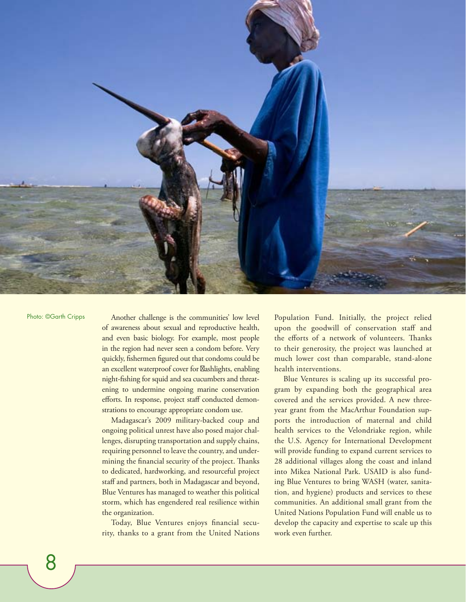

Photo: ©Garth Cripps Another challenge is the communities' low level of awareness about sexual and reproductive health, and even basic biology. For example, most people in the region had never seen a condom before. Very quickly, fishermen figured out that condoms could be an excellent waterproof cover for f ashlights, enabling night-fishing for squid and sea cucumbers and threatening to undermine ongoing marine conservation efforts. In response, project staff conducted demonstrations to encourage appropriate condom use.

> Madagascar's 2009 military-backed coup and ongoing political unrest have also posed major challenges, disrupting transportation and supply chains, requiring personnel to leave the country, and undermining the financial security of the project. Thanks to dedicated, hardworking, and resourceful project staff and partners, both in Madagascar and beyond, Blue Ventures has managed to weather this political storm, which has engendered real resilience within the organization.

> Today, Blue Ventures enjoys financial security, thanks to a grant from the United Nations

Population Fund. Initially, the project relied upon the goodwill of conservation staff and the efforts of a network of volunteers. Thanks to their generosity, the project was launched at much lower cost than comparable, stand-alone health interventions.

Blue Ventures is scaling up its successful program by expanding both the geographical area covered and the services provided. A new threeyear grant from the MacArthur Foundation supports the introduction of maternal and child health services to the Velondriake region, while the U.S. Agency for International Development will provide funding to expand current services to 28 additional villages along the coast and inland into Mikea National Park. USAID is also funding Blue Ventures to bring WASH (water, sanitation, and hygiene) products and services to these communities. An additional small grant from the United Nations Population Fund will enable us to develop the capacity and expertise to scale up this work even further.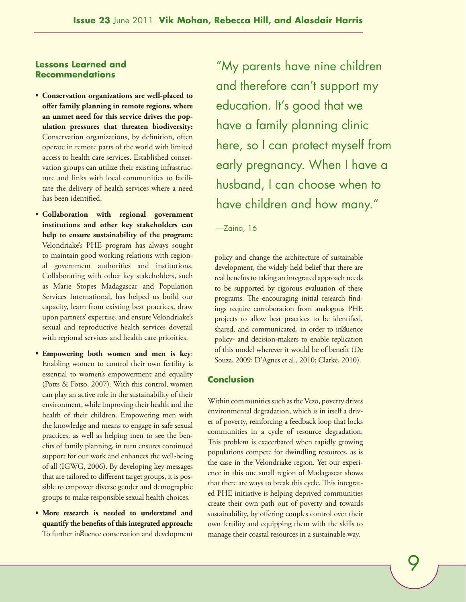### **Lessons Learned and Recommendations**

- **• Conservation organizations are well-placed to offer family planning in remote regions, where an unmet need for this service drives the population pressures that threaten biodiversity:** Conservation organizations, by definition, often operate in remote parts of the world with limited access to health care services. Established conservation groups can utilize their existing infrastructure and links with local communities to facilitate the delivery of health services where a need has been identified.
- **• Collaboration with regional government institutions and other key stakeholders can help to ensure sustainability of the program:** Velondriake's PHE program has always sought to maintain good working relations with regional government authorities and institutions. Collaborating with other key stakeholders, such as Marie Stopes Madagascar and Population Services International, has helped us build our capacity, learn from existing best practices, draw upon partners' expertise, and ensure Velondriake's sexual and reproductive health services dovetail with regional services and health care priorities.
- **• Empowering both women and men is key**: Enabling women to control their own fertility is essential to women's empowerment and equality (Potts & Fotso, 2007). With this control, women can play an active role in the sustainability of their environment, while improving their health and the health of their children. Empowering men with the knowledge and means to engage in safe sexual practices, as well as helping men to see the benefits of family planning, in turn ensures continued support for our work and enhances the well-being of all (IGWG, 2006). By developing key messages that are tailored to different target groups, it is possible to empower diverse gender and demographic groups to make responsible sexual health choices.
- **• More research is needed to understand and quantify the benefits of this integrated approach:**  To further inf uence conservation and development

"My parents have nine children and therefore can't support my education. It's good that we have a family planning clinic here, so I can protect myself from early pregnancy. When I have a husband, I can choose when to have children and how many."

—Zaina, 16

policy and change the architecture of sustainable development, the widely held belief that there are real benefits to taking an integrated approach needs to be supported by rigorous evaluation of these programs. The encouraging initial research findings require corroboration from analogous PHE projects to allow best practices to be identified, shared, and communicated, in order to influence policy- and decision-makers to enable replication of this model wherever it would be of benefit (De Souza, 2009; D'Agnes et al., 2010; Clarke, 2010).

### **Conclusion**

Within communities such as the Vezo, poverty drives environmental degradation, which is in itself a driver of poverty, reinforcing a feedback loop that locks communities in a cycle of resource degradation. This problem is exacerbated when rapidly growing populations compete for dwindling resources, as is the case in the Velondriake region. Yet our experience in this one small region of Madagascar shows that there are ways to break this cycle. This integrated PHE initiative is helping deprived communities create their own path out of poverty and towards sustainability, by offering couples control over their own fertility and equipping them with the skills to manage their coastal resources in a sustainable way.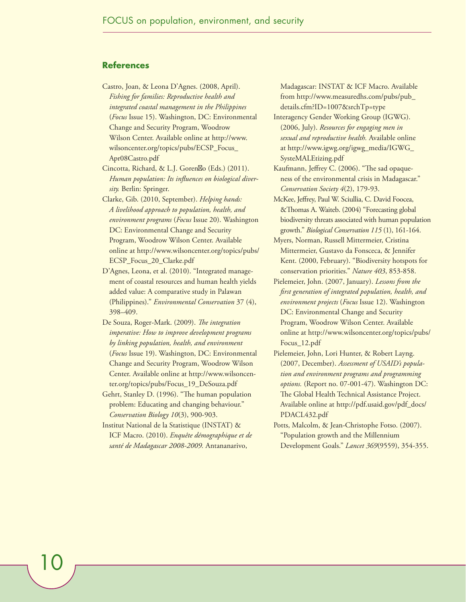### **References**

- Castro, Joan, & Leona D'Agnes. (2008, April). *Fishing for families: Reproductive health and integrated coastal management in the Philippines* (*Focus* Issue 15). Washington, DC: Environmental Change and Security Program, Woodrow Wilson Center. Available online at http://www. wilsoncenter.org/topics/pubs/ECSP\_Focus\_ Apr08Castro.pdf
- Cincotta, Richard, & L.J. Gorenf o (Eds.) (2011). *Human population: Its influences on biological diversity.* Berlin: Springer.
- Clarke, Gib. (2010, September). *Helping hands: A livelihood approach to population, health, and environment programs* (*Focus* Issue 20). Washington DC: Environmental Change and Security Program, Woodrow Wilson Center. Available online at http://www.wilsoncenter.org/topics/pubs/ ECSP\_Focus\_20\_Clarke.pdf
- D'Agnes, Leona, et al. (2010). "Integrated management of coastal resources and human health yields added value: A comparative study in Palawan (Philippines)." *Environmental Conservation* 37 (4), 398–409.
- De Souza, Roger-Mark. (2009). *The integration imperative: How to improve development programs by linking population, health, and environment* (*Focus* Issue 19). Washington, DC: Environmental Change and Security Program, Woodrow Wilson Center. Available online at http://www.wilsoncenter.org/topics/pubs/Focus\_19\_DeSouza.pdf
- Gehrt, Stanley D. (1996). "The human population problem: Educating and changing behaviour." *Conservation Biology 10*(3), 900-903.
- Institut National de la Statistique (INSTAT) & ICF Macro. (2010). *Enquête démographique et de santé de Madagascar 2008-2009.* Antananarivo,

Madagascar: INSTAT & ICF Macro. Available from http://www.measuredhs.com/pubs/pub\_ details.cfm?ID=1007&srchTp=type

Interagency Gender Working Group (IGWG). (2006, July). *Resources for engaging men in sexual and reproductive health.* Available online at http://www.igwg.org/igwg\_media/IGWG\_ SysteMALEtizing.pdf

- Kaufmann, Jeffrey C. (2006). "The sad opaqueness of the environmental crisis in Madagascar." *Conservation Society 4*(2), 179-93.
- McKee, Jeffrey, Paul W. Sciullia, C. David Foocea, &Thomas A. Waiteb. (2004) "Forecasting global biodiversity threats associated with human population growth." *Biological Conservation 115* (1), 161-164.
- Myers, Norman, Russell Mittermeier, Cristina Mittermeier, Gustavo da Fonsceca, & Jennifer Kent. (2000, February). "Biodiversity hotspots for conservation priorities." *Nature 403*, 853-858.
- Pielemeier, John. (2007, January). *Lessons from the first generation of integrated population, health, and environment projects* (*Focus* Issue 12). Washington DC: Environmental Change and Security Program, Woodrow Wilson Center. Available online at http://www.wilsoncenter.org/topics/pubs/ Focus\_12.pdf
- Pielemeier, John, Lori Hunter, & Robert Layng. (2007, December). *Assessment of USAID's population and environment programs and programming options.* (Report no. 07-001-47). Washington DC: The Global Health Technical Assistance Project. Available online at http://pdf.usaid.gov/pdf\_docs/ PDACL432.pdf
- Potts, Malcolm, & Jean-Christophe Fotso. (2007). "Population growth and the Millennium Development Goals." *Lancet 369*(9559), 354-355.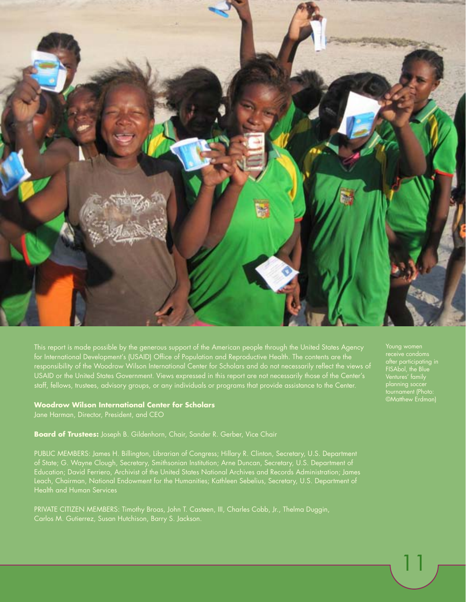

This report is made possible by the generous support of the American people through the United States Agency for International Development's (USAID) Office of Population and Reproductive Health. The contents are the staff, fellows, trustees, advisory groups, or any individuals or programs that provide assistance to the Center.

### **Woodrow Wilson International Center for Scholars**

Jane Harman, Director, President, and CEO

**Board of Trustees:** Joseph B. Gildenhorn, Chair, Sander R. Gerber, Vice Chair

PUBLIC MEMBERS: James H. Billington, Librarian of Congress; Hillary R. Clinton, Secretary, U.S. Department of State; G. Wayne Clough, Secretary, Smithsonian Institution; Arne Duncan, Secretary, U.S. Department of Education; David Ferriero, Archivist of the United States National Archives and Records Administration; James Leach, Chairman, National Endowment for the Humanities; Kathleen Sebelius, Secretary, U.S. Department of

PRIVATE CITIZEN MEMBERS: Timothy Broas, John T. Casteen, III, Charles Cobb, Jr., Thelma Duggin,

Young women after participating in FISAbol, the Blue Ventures' family planning soccer tournament (Photo: ©Matthew Erdman)